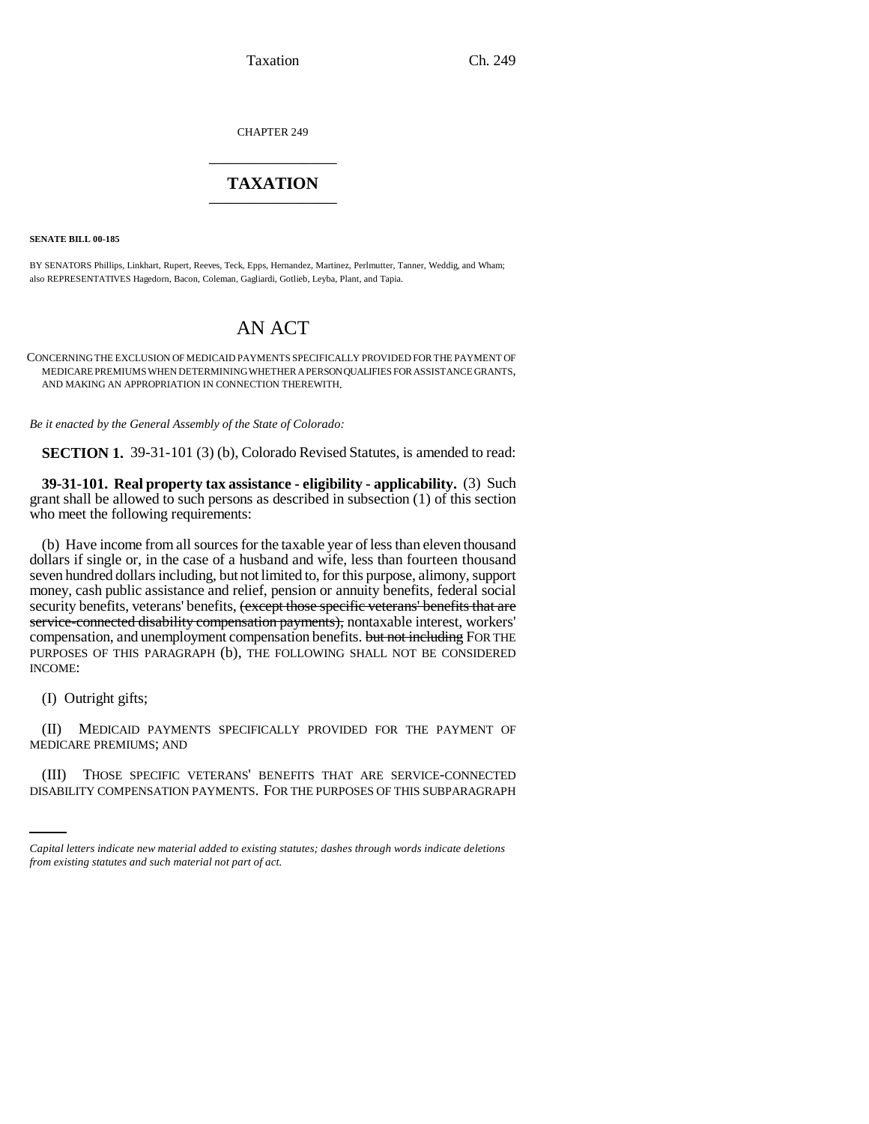Taxation Ch. 249

CHAPTER 249 \_\_\_\_\_\_\_\_\_\_\_\_\_\_\_

# **TAXATION** \_\_\_\_\_\_\_\_\_\_\_\_\_\_\_

**SENATE BILL 00-185**

BY SENATORS Phillips, Linkhart, Rupert, Reeves, Teck, Epps, Hernandez, Martinez, Perlmutter, Tanner, Weddig, and Wham; also REPRESENTATIVES Hagedorn, Bacon, Coleman, Gagliardi, Gotlieb, Leyba, Plant, and Tapia.

# AN ACT

CONCERNING THE EXCLUSION OF MEDICAID PAYMENTS SPECIFICALLY PROVIDED FOR THE PAYMENT OF MEDICARE PREMIUMS WHEN DETERMINING WHETHER A PERSON QUALIFIES FOR ASSISTANCE GRANTS, AND MAKING AN APPROPRIATION IN CONNECTION THEREWITH.

*Be it enacted by the General Assembly of the State of Colorado:*

**SECTION 1.** 39-31-101 (3) (b), Colorado Revised Statutes, is amended to read:

**39-31-101. Real property tax assistance - eligibility - applicability.** (3) Such grant shall be allowed to such persons as described in subsection (1) of this section who meet the following requirements:

(b) Have income from all sources for the taxable year of less than eleven thousand dollars if single or, in the case of a husband and wife, less than fourteen thousand seven hundred dollars including, but not limited to, for this purpose, alimony, support money, cash public assistance and relief, pension or annuity benefits, federal social security benefits, veterans' benefits, (except those specific veterans' benefits that are service-connected disability compensation payments), nontaxable interest, workers' compensation, and unemployment compensation benefits. but not including FOR THE PURPOSES OF THIS PARAGRAPH (b), THE FOLLOWING SHALL NOT BE CONSIDERED INCOME:

(I) Outright gifts;

(II) MEDICAID PAYMENTS SPECIFICALLY PROVIDED FOR THE PAYMENT OF MEDICARE PREMIUMS; AND

(III) THOSE SPECIFIC VETERANS' BENEFITS THAT ARE SERVICE-CONNECTED DISABILITY COMPENSATION PAYMENTS. FOR THE PURPOSES OF THIS SUBPARAGRAPH

*Capital letters indicate new material added to existing statutes; dashes through words indicate deletions from existing statutes and such material not part of act.*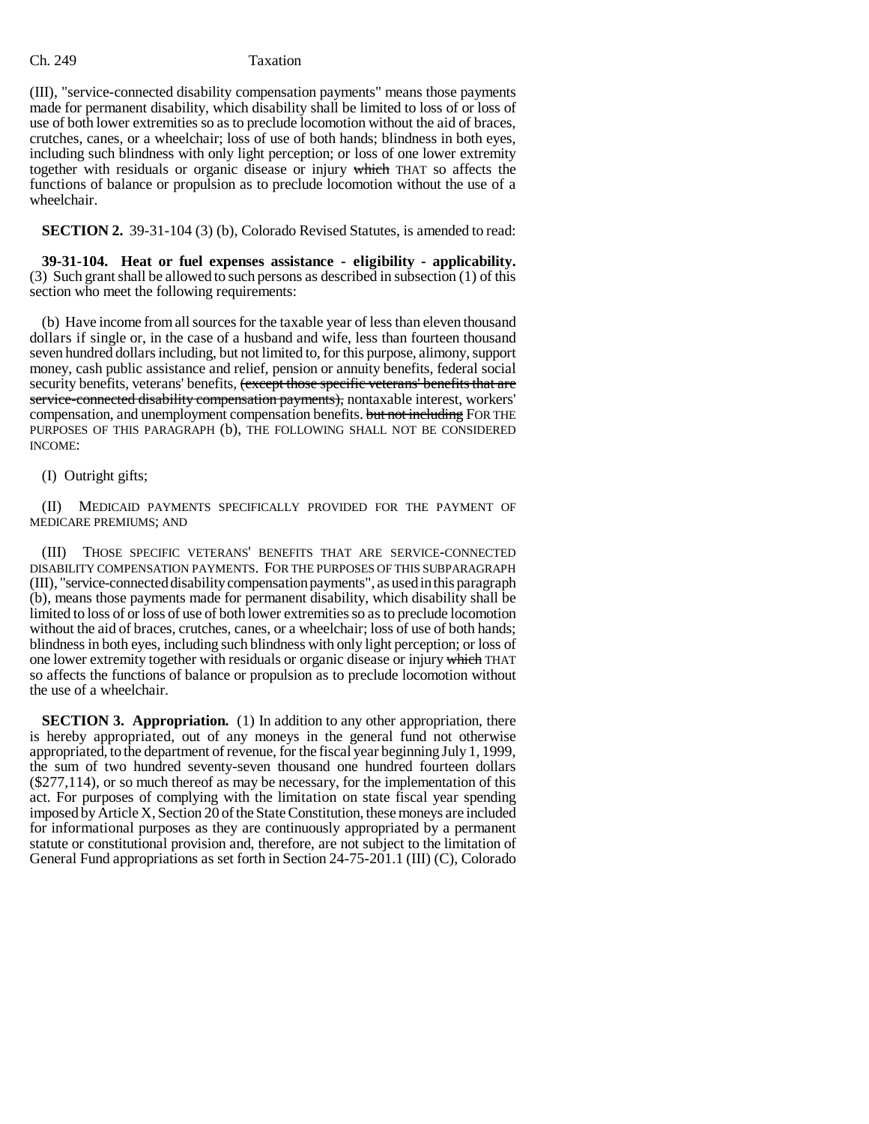### Ch. 249 Taxation

(III), "service-connected disability compensation payments" means those payments made for permanent disability, which disability shall be limited to loss of or loss of use of both lower extremities so as to preclude locomotion without the aid of braces, crutches, canes, or a wheelchair; loss of use of both hands; blindness in both eyes, including such blindness with only light perception; or loss of one lower extremity together with residuals or organic disease or injury which THAT so affects the functions of balance or propulsion as to preclude locomotion without the use of a wheelchair.

**SECTION 2.** 39-31-104 (3) (b), Colorado Revised Statutes, is amended to read:

**39-31-104. Heat or fuel expenses assistance - eligibility - applicability.** (3) Such grant shall be allowed to such persons as described in subsection (1) of this section who meet the following requirements:

(b) Have income from all sources for the taxable year of less than eleven thousand dollars if single or, in the case of a husband and wife, less than fourteen thousand seven hundred dollars including, but not limited to, for this purpose, alimony, support money, cash public assistance and relief, pension or annuity benefits, federal social security benefits, veterans' benefits, (except those specific veterans' benefits that are service-connected disability compensation payments), nontaxable interest, workers' compensation, and unemployment compensation benefits. but not including FOR THE PURPOSES OF THIS PARAGRAPH (b), THE FOLLOWING SHALL NOT BE CONSIDERED INCOME:

## (I) Outright gifts;

(II) MEDICAID PAYMENTS SPECIFICALLY PROVIDED FOR THE PAYMENT OF MEDICARE PREMIUMS; AND

(III) THOSE SPECIFIC VETERANS' BENEFITS THAT ARE SERVICE-CONNECTED DISABILITY COMPENSATION PAYMENTS. FOR THE PURPOSES OF THIS SUBPARAGRAPH (III), "service-connected disability compensation payments", as used in this paragraph (b), means those payments made for permanent disability, which disability shall be limited to loss of or loss of use of both lower extremities so as to preclude locomotion without the aid of braces, crutches, canes, or a wheelchair; loss of use of both hands; blindness in both eyes, including such blindness with only light perception; or loss of one lower extremity together with residuals or organic disease or injury which THAT so affects the functions of balance or propulsion as to preclude locomotion without the use of a wheelchair.

**SECTION 3. Appropriation.** (1) In addition to any other appropriation, there is hereby appropriated, out of any moneys in the general fund not otherwise appropriated, to the department of revenue, for the fiscal year beginning July 1, 1999, the sum of two hundred seventy-seven thousand one hundred fourteen dollars (\$277,114), or so much thereof as may be necessary, for the implementation of this act. For purposes of complying with the limitation on state fiscal year spending imposed by Article X, Section 20 of the State Constitution, these moneys are included for informational purposes as they are continuously appropriated by a permanent statute or constitutional provision and, therefore, are not subject to the limitation of General Fund appropriations as set forth in Section 24-75-201.1 (III) (C), Colorado